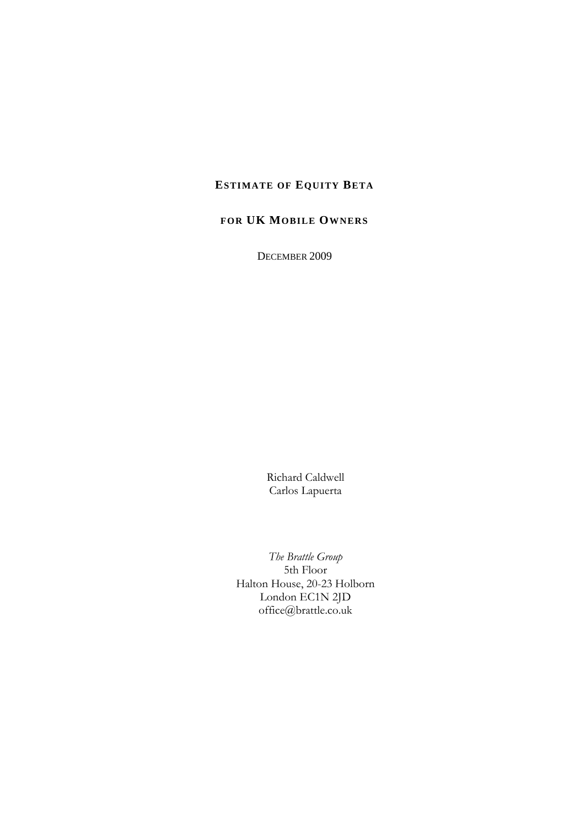## **ESTIMATE OF EQUITY BETA**

## **FOR UK MOBILE OWNERS**

DECEMBER 2009

Richard Caldwell Carlos Lapuerta

*The Brattle Group*  5th Floor Halton House, 20-23 Holborn London EC1N 2JD office@brattle.co.uk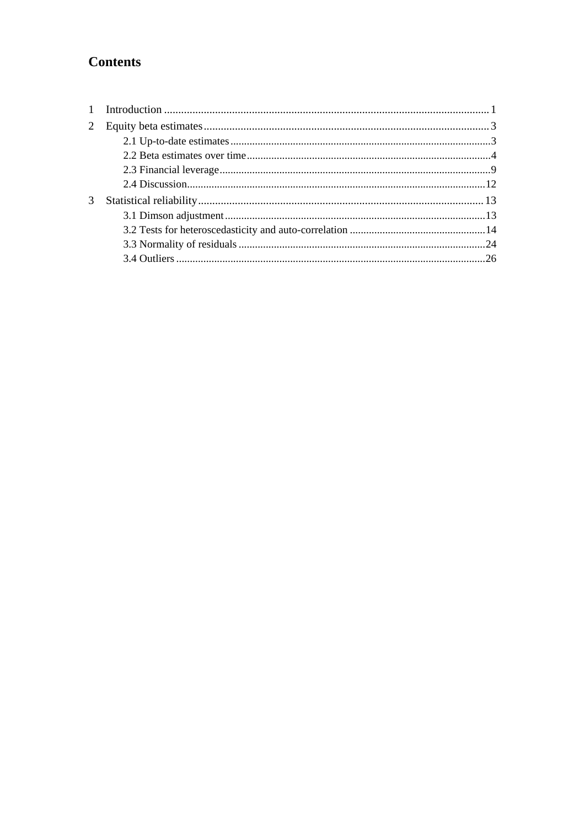# **Contents**

| 3 |  |
|---|--|
|   |  |
|   |  |
|   |  |
|   |  |
|   |  |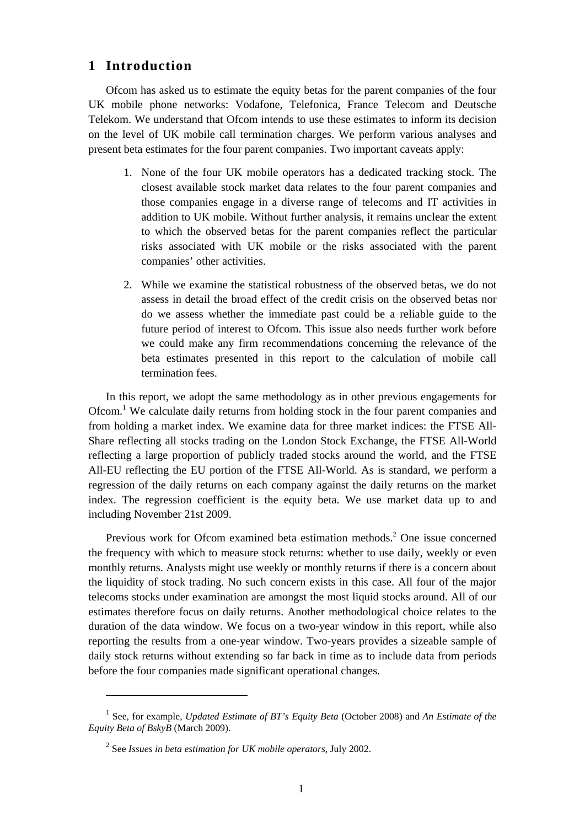## **1 Introduction**

Ofcom has asked us to estimate the equity betas for the parent companies of the four UK mobile phone networks: Vodafone, Telefonica, France Telecom and Deutsche Telekom. We understand that Ofcom intends to use these estimates to inform its decision on the level of UK mobile call termination charges. We perform various analyses and present beta estimates for the four parent companies. Two important caveats apply:

- 1. None of the four UK mobile operators has a dedicated tracking stock. The closest available stock market data relates to the four parent companies and those companies engage in a diverse range of telecoms and IT activities in addition to UK mobile. Without further analysis, it remains unclear the extent to which the observed betas for the parent companies reflect the particular risks associated with UK mobile or the risks associated with the parent companies' other activities.
- 2. While we examine the statistical robustness of the observed betas, we do not assess in detail the broad effect of the credit crisis on the observed betas nor do we assess whether the immediate past could be a reliable guide to the future period of interest to Ofcom. This issue also needs further work before we could make any firm recommendations concerning the relevance of the beta estimates presented in this report to the calculation of mobile call termination fees.

In this report, we adopt the same methodology as in other previous engagements for Ofcom.<sup>1</sup> We calculate daily returns from holding stock in the four parent companies and from holding a market index. We examine data for three market indices: the FTSE All-Share reflecting all stocks trading on the London Stock Exchange, the FTSE All-World reflecting a large proportion of publicly traded stocks around the world, and the FTSE All-EU reflecting the EU portion of the FTSE All-World. As is standard, we perform a regression of the daily returns on each company against the daily returns on the market index. The regression coefficient is the equity beta. We use market data up to and including November 21st 2009.

Previous work for Ofcom examined beta estimation methods.<sup>2</sup> One issue concerned the frequency with which to measure stock returns: whether to use daily, weekly or even monthly returns. Analysts might use weekly or monthly returns if there is a concern about the liquidity of stock trading. No such concern exists in this case. All four of the major telecoms stocks under examination are amongst the most liquid stocks around. All of our estimates therefore focus on daily returns. Another methodological choice relates to the duration of the data window. We focus on a two-year window in this report, while also reporting the results from a one-year window. Two-years provides a sizeable sample of daily stock returns without extending so far back in time as to include data from periods before the four companies made significant operational changes.

<sup>&</sup>lt;sup>1</sup> See, for example, *Updated Estimate of BT's Equity Beta* (October 2008) and *An Estimate of the Equity Beta of BskyB* (March 2009).

<sup>2</sup> See *Issues in beta estimation for UK mobile operators*, July 2002.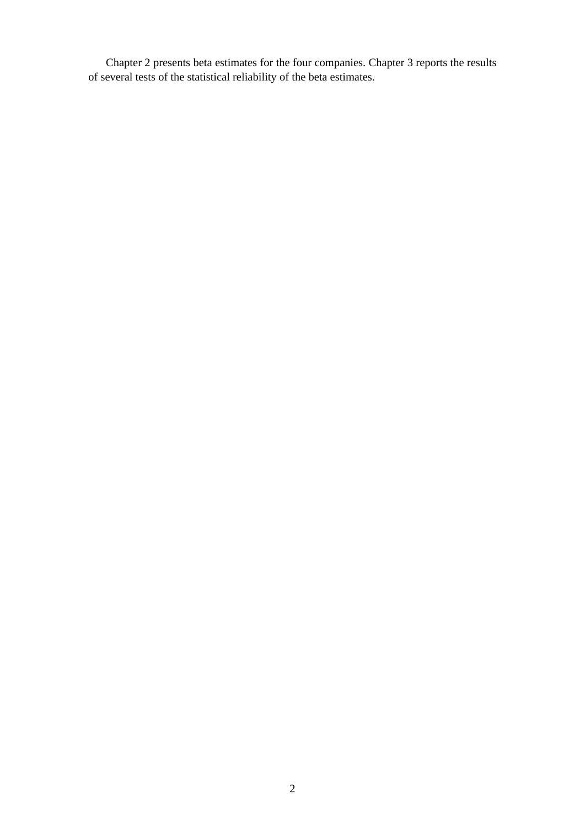Chapter 2 presents beta estimates for the four companies. Chapter 3 reports the results of several tests of the statistical reliability of the beta estimates.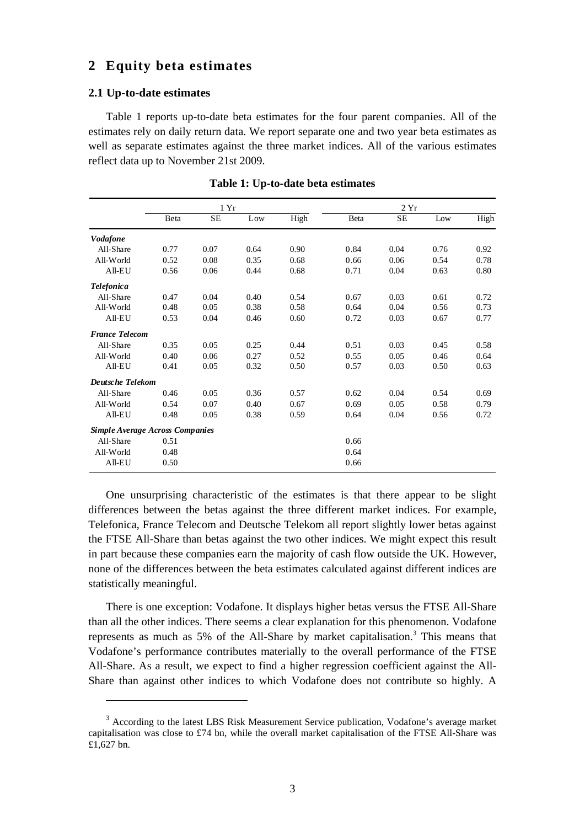### **2 Equity beta estimates**

#### **2.1 Up-to-date estimates**

Table 1 reports up-to-date beta estimates for the four parent companies. All of the estimates rely on daily return data. We report separate one and two year beta estimates as well as separate estimates against the three market indices. All of the various estimates reflect data up to November 21st 2009.

|                                        | 1Yr  |           |      |      |      | 2Yr       |      |      |
|----------------------------------------|------|-----------|------|------|------|-----------|------|------|
|                                        | Beta | <b>SE</b> | Low  | High | Beta | <b>SE</b> | Low  | High |
| <b>Vodafone</b>                        |      |           |      |      |      |           |      |      |
| All-Share                              | 0.77 | 0.07      | 0.64 | 0.90 | 0.84 | 0.04      | 0.76 | 0.92 |
| All-World                              | 0.52 | 0.08      | 0.35 | 0.68 | 0.66 | 0.06      | 0.54 | 0.78 |
| $All-EU$                               | 0.56 | 0.06      | 0.44 | 0.68 | 0.71 | 0.04      | 0.63 | 0.80 |
| <b>Telefonica</b>                      |      |           |      |      |      |           |      |      |
| All-Share                              | 0.47 | 0.04      | 0.40 | 0.54 | 0.67 | 0.03      | 0.61 | 0.72 |
| All-World                              | 0.48 | 0.05      | 0.38 | 0.58 | 0.64 | 0.04      | 0.56 | 0.73 |
| All-EU                                 | 0.53 | 0.04      | 0.46 | 0.60 | 0.72 | 0.03      | 0.67 | 0.77 |
| <b>France Telecom</b>                  |      |           |      |      |      |           |      |      |
| All-Share                              | 0.35 | 0.05      | 0.25 | 0.44 | 0.51 | 0.03      | 0.45 | 0.58 |
| All-World                              | 0.40 | 0.06      | 0.27 | 0.52 | 0.55 | 0.05      | 0.46 | 0.64 |
| $All-EU$                               | 0.41 | 0.05      | 0.32 | 0.50 | 0.57 | 0.03      | 0.50 | 0.63 |
| <b>Deutsche Telekom</b>                |      |           |      |      |      |           |      |      |
| All-Share                              | 0.46 | 0.05      | 0.36 | 0.57 | 0.62 | 0.04      | 0.54 | 0.69 |
| All-World                              | 0.54 | 0.07      | 0.40 | 0.67 | 0.69 | 0.05      | 0.58 | 0.79 |
| All-EU                                 | 0.48 | 0.05      | 0.38 | 0.59 | 0.64 | 0.04      | 0.56 | 0.72 |
| <b>Simple Average Across Companies</b> |      |           |      |      |      |           |      |      |
| All-Share                              | 0.51 |           |      |      | 0.66 |           |      |      |
| All-World                              | 0.48 |           |      |      | 0.64 |           |      |      |
| All-EU                                 | 0.50 |           |      |      | 0.66 |           |      |      |

**Table 1: Up-to-date beta estimates** 

One unsurprising characteristic of the estimates is that there appear to be slight differences between the betas against the three different market indices. For example, Telefonica, France Telecom and Deutsche Telekom all report slightly lower betas against the FTSE All-Share than betas against the two other indices. We might expect this result in part because these companies earn the majority of cash flow outside the UK. However, none of the differences between the beta estimates calculated against different indices are statistically meaningful.

There is one exception: Vodafone. It displays higher betas versus the FTSE All-Share than all the other indices. There seems a clear explanation for this phenomenon. Vodafone represents as much as 5% of the All-Share by market capitalisation.<sup>3</sup> This means that Vodafone's performance contributes materially to the overall performance of the FTSE All-Share. As a result, we expect to find a higher regression coefficient against the All-Share than against other indices to which Vodafone does not contribute so highly. A

<sup>&</sup>lt;sup>3</sup> According to the latest LBS Risk Measurement Service publication, Vodafone's average market capitalisation was close to £74 bn, while the overall market capitalisation of the FTSE All-Share was £1,627 bn.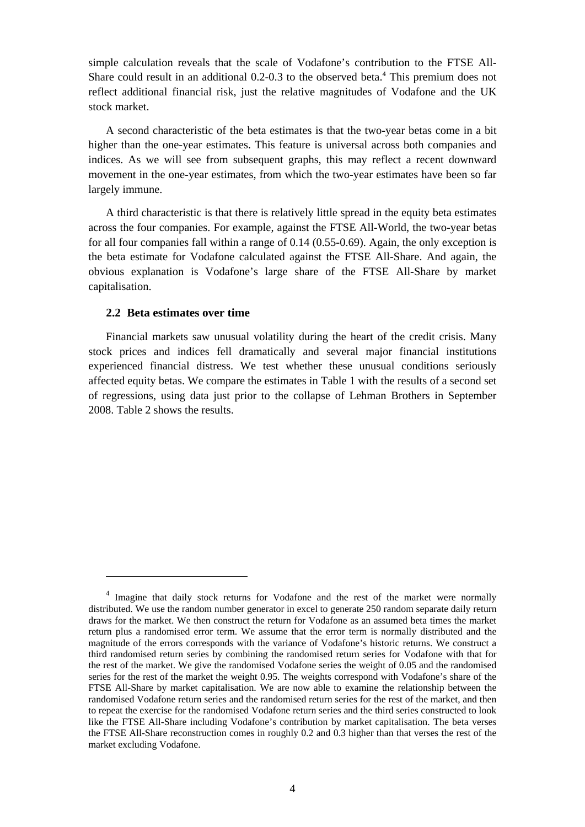simple calculation reveals that the scale of Vodafone's contribution to the FTSE All-Share could result in an additional 0.2-0.3 to the observed beta.<sup>4</sup> This premium does not reflect additional financial risk, just the relative magnitudes of Vodafone and the UK stock market.

A second characteristic of the beta estimates is that the two-year betas come in a bit higher than the one-year estimates. This feature is universal across both companies and indices. As we will see from subsequent graphs, this may reflect a recent downward movement in the one-year estimates, from which the two-year estimates have been so far largely immune.

A third characteristic is that there is relatively little spread in the equity beta estimates across the four companies. For example, against the FTSE All-World, the two-year betas for all four companies fall within a range of 0.14 (0.55-0.69). Again, the only exception is the beta estimate for Vodafone calculated against the FTSE All-Share. And again, the obvious explanation is Vodafone's large share of the FTSE All-Share by market capitalisation.

#### **2.2 Beta estimates over time**

Financial markets saw unusual volatility during the heart of the credit crisis. Many stock prices and indices fell dramatically and several major financial institutions experienced financial distress. We test whether these unusual conditions seriously affected equity betas. We compare the estimates in Table 1 with the results of a second set of regressions, using data just prior to the collapse of Lehman Brothers in September 2008. Table 2 shows the results.

<sup>&</sup>lt;sup>4</sup> Imagine that daily stock returns for Vodafone and the rest of the market were normally distributed. We use the random number generator in excel to generate 250 random separate daily return draws for the market. We then construct the return for Vodafone as an assumed beta times the market return plus a randomised error term. We assume that the error term is normally distributed and the magnitude of the errors corresponds with the variance of Vodafone's historic returns. We construct a third randomised return series by combining the randomised return series for Vodafone with that for the rest of the market. We give the randomised Vodafone series the weight of 0.05 and the randomised series for the rest of the market the weight 0.95. The weights correspond with Vodafone's share of the FTSE All-Share by market capitalisation. We are now able to examine the relationship between the randomised Vodafone return series and the randomised return series for the rest of the market, and then to repeat the exercise for the randomised Vodafone return series and the third series constructed to look like the FTSE All-Share including Vodafone's contribution by market capitalisation. The beta verses the FTSE All-Share reconstruction comes in roughly 0.2 and 0.3 higher than that verses the rest of the market excluding Vodafone.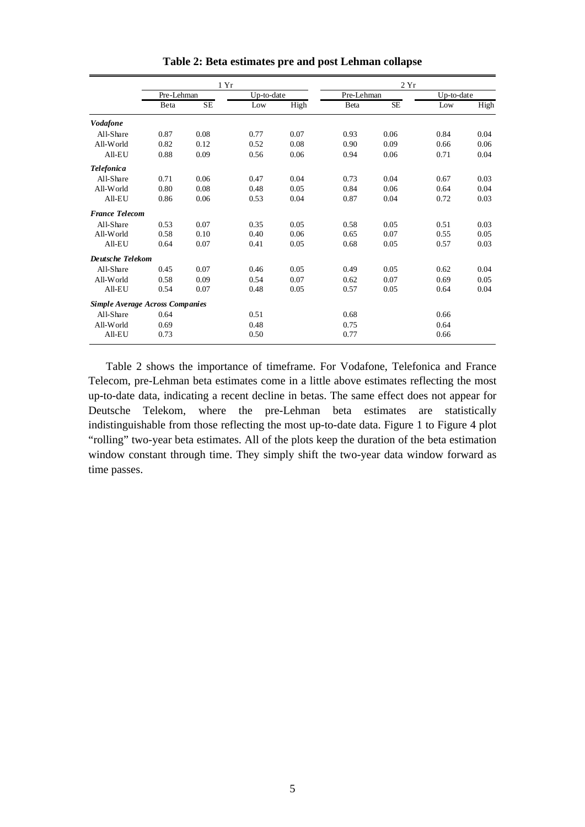|                                        |            | 1 Yr      |            |      |            | 2Yr  |            |      |  |  |
|----------------------------------------|------------|-----------|------------|------|------------|------|------------|------|--|--|
|                                        | Pre-Lehman |           | Up-to-date |      | Pre-Lehman |      | Up-to-date |      |  |  |
|                                        | Beta       | <b>SE</b> | Low        | High | Beta       | SE   | Low        | High |  |  |
| <b>Vodafone</b>                        |            |           |            |      |            |      |            |      |  |  |
| All-Share                              | 0.87       | 0.08      | 0.77       | 0.07 | 0.93       | 0.06 | 0.84       | 0.04 |  |  |
| All-World                              | 0.82       | 0.12      | 0.52       | 0.08 | 0.90       | 0.09 | 0.66       | 0.06 |  |  |
| All-EU                                 | 0.88       | 0.09      | 0.56       | 0.06 | 0.94       | 0.06 | 0.71       | 0.04 |  |  |
| <b>Telefonica</b>                      |            |           |            |      |            |      |            |      |  |  |
| All-Share                              | 0.71       | 0.06      | 0.47       | 0.04 | 0.73       | 0.04 | 0.67       | 0.03 |  |  |
| All-World                              | 0.80       | 0.08      | 0.48       | 0.05 | 0.84       | 0.06 | 0.64       | 0.04 |  |  |
| All-EU                                 | 0.86       | 0.06      | 0.53       | 0.04 | 0.87       | 0.04 | 0.72       | 0.03 |  |  |
| <b>France Telecom</b>                  |            |           |            |      |            |      |            |      |  |  |
| All-Share                              | 0.53       | 0.07      | 0.35       | 0.05 | 0.58       | 0.05 | 0.51       | 0.03 |  |  |
| All-World                              | 0.58       | 0.10      | 0.40       | 0.06 | 0.65       | 0.07 | 0.55       | 0.05 |  |  |
| All-EU                                 | 0.64       | 0.07      | 0.41       | 0.05 | 0.68       | 0.05 | 0.57       | 0.03 |  |  |
| <b>Deutsche Telekom</b>                |            |           |            |      |            |      |            |      |  |  |
| All-Share                              | 0.45       | 0.07      | 0.46       | 0.05 | 0.49       | 0.05 | 0.62       | 0.04 |  |  |
| All-World                              | 0.58       | 0.09      | 0.54       | 0.07 | 0.62       | 0.07 | 0.69       | 0.05 |  |  |
| All-EU                                 | 0.54       | 0.07      | 0.48       | 0.05 | 0.57       | 0.05 | 0.64       | 0.04 |  |  |
| <b>Simple Average Across Companies</b> |            |           |            |      |            |      |            |      |  |  |
| All-Share                              | 0.64       |           | 0.51       |      | 0.68       |      | 0.66       |      |  |  |
| All-World                              | 0.69       |           | 0.48       |      | 0.75       |      | 0.64       |      |  |  |
| All-EU                                 | 0.73       |           | 0.50       |      | 0.77       |      | 0.66       |      |  |  |

**Table 2: Beta estimates pre and post Lehman collapse** 

Table 2 shows the importance of timeframe. For Vodafone, Telefonica and France Telecom, pre-Lehman beta estimates come in a little above estimates reflecting the most up-to-date data, indicating a recent decline in betas. The same effect does not appear for Deutsche Telekom, where the pre-Lehman beta estimates are statistically indistinguishable from those reflecting the most up-to-date data. Figure 1 to Figure 4 plot "rolling" two-year beta estimates. All of the plots keep the duration of the beta estimation window constant through time. They simply shift the two-year data window forward as time passes.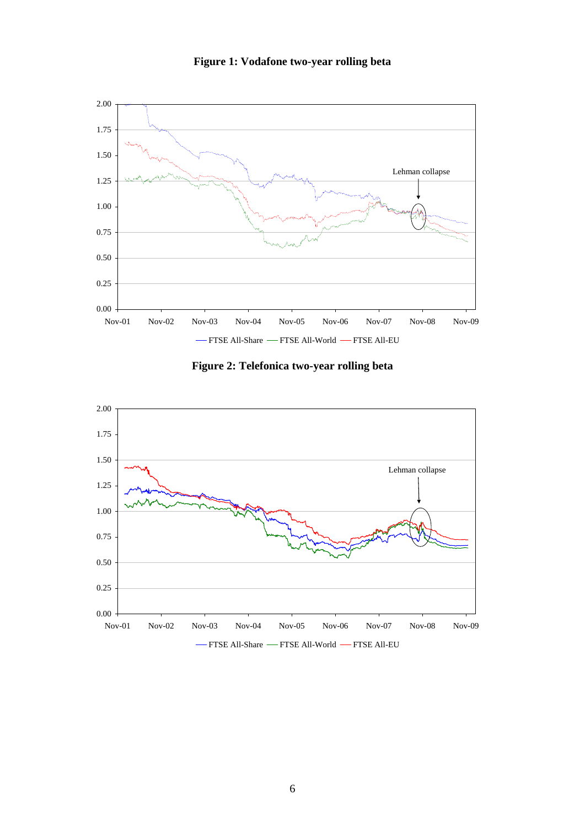

**Figure 1: Vodafone two-year rolling beta** 



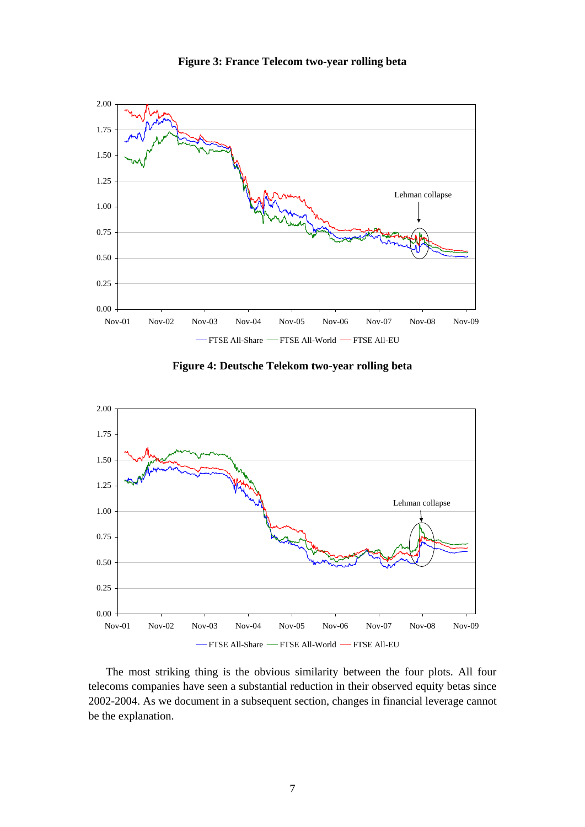

**Figure 3: France Telecom two-year rolling beta** 

**Figure 4: Deutsche Telekom two-year rolling beta** 



The most striking thing is the obvious similarity between the four plots. All four telecoms companies have seen a substantial reduction in their observed equity betas since 2002-2004. As we document in a subsequent section, changes in financial leverage cannot be the explanation.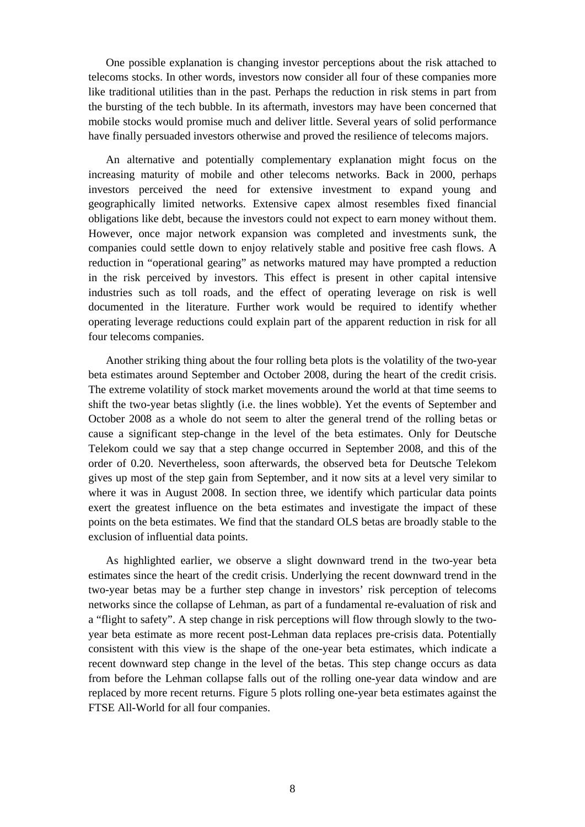One possible explanation is changing investor perceptions about the risk attached to telecoms stocks. In other words, investors now consider all four of these companies more like traditional utilities than in the past. Perhaps the reduction in risk stems in part from the bursting of the tech bubble. In its aftermath, investors may have been concerned that mobile stocks would promise much and deliver little. Several years of solid performance have finally persuaded investors otherwise and proved the resilience of telecoms majors.

An alternative and potentially complementary explanation might focus on the increasing maturity of mobile and other telecoms networks. Back in 2000, perhaps investors perceived the need for extensive investment to expand young and geographically limited networks. Extensive capex almost resembles fixed financial obligations like debt, because the investors could not expect to earn money without them. However, once major network expansion was completed and investments sunk, the companies could settle down to enjoy relatively stable and positive free cash flows. A reduction in "operational gearing" as networks matured may have prompted a reduction in the risk perceived by investors. This effect is present in other capital intensive industries such as toll roads, and the effect of operating leverage on risk is well documented in the literature. Further work would be required to identify whether operating leverage reductions could explain part of the apparent reduction in risk for all four telecoms companies.

Another striking thing about the four rolling beta plots is the volatility of the two-year beta estimates around September and October 2008, during the heart of the credit crisis. The extreme volatility of stock market movements around the world at that time seems to shift the two-year betas slightly (i.e. the lines wobble). Yet the events of September and October 2008 as a whole do not seem to alter the general trend of the rolling betas or cause a significant step-change in the level of the beta estimates. Only for Deutsche Telekom could we say that a step change occurred in September 2008, and this of the order of 0.20. Nevertheless, soon afterwards, the observed beta for Deutsche Telekom gives up most of the step gain from September, and it now sits at a level very similar to where it was in August 2008. In section three, we identify which particular data points exert the greatest influence on the beta estimates and investigate the impact of these points on the beta estimates. We find that the standard OLS betas are broadly stable to the exclusion of influential data points.

As highlighted earlier, we observe a slight downward trend in the two-year beta estimates since the heart of the credit crisis. Underlying the recent downward trend in the two-year betas may be a further step change in investors' risk perception of telecoms networks since the collapse of Lehman, as part of a fundamental re-evaluation of risk and a "flight to safety". A step change in risk perceptions will flow through slowly to the twoyear beta estimate as more recent post-Lehman data replaces pre-crisis data. Potentially consistent with this view is the shape of the one-year beta estimates, which indicate a recent downward step change in the level of the betas. This step change occurs as data from before the Lehman collapse falls out of the rolling one-year data window and are replaced by more recent returns. Figure 5 plots rolling one-year beta estimates against the FTSE All-World for all four companies.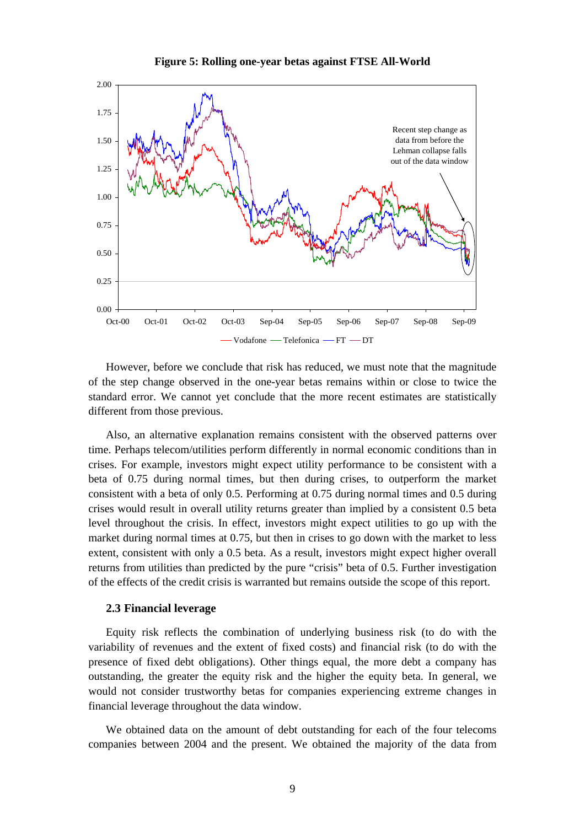

**Figure 5: Rolling one-year betas against FTSE All-World** 

However, before we conclude that risk has reduced, we must note that the magnitude of the step change observed in the one-year betas remains within or close to twice the standard error. We cannot yet conclude that the more recent estimates are statistically different from those previous.

Also, an alternative explanation remains consistent with the observed patterns over time. Perhaps telecom/utilities perform differently in normal economic conditions than in crises. For example, investors might expect utility performance to be consistent with a beta of 0.75 during normal times, but then during crises, to outperform the market consistent with a beta of only 0.5. Performing at 0.75 during normal times and 0.5 during crises would result in overall utility returns greater than implied by a consistent 0.5 beta level throughout the crisis. In effect, investors might expect utilities to go up with the market during normal times at 0.75, but then in crises to go down with the market to less extent, consistent with only a 0.5 beta. As a result, investors might expect higher overall returns from utilities than predicted by the pure "crisis" beta of 0.5. Further investigation of the effects of the credit crisis is warranted but remains outside the scope of this report.

#### **2.3 Financial leverage**

Equity risk reflects the combination of underlying business risk (to do with the variability of revenues and the extent of fixed costs) and financial risk (to do with the presence of fixed debt obligations). Other things equal, the more debt a company has outstanding, the greater the equity risk and the higher the equity beta. In general, we would not consider trustworthy betas for companies experiencing extreme changes in financial leverage throughout the data window.

We obtained data on the amount of debt outstanding for each of the four telecoms companies between 2004 and the present. We obtained the majority of the data from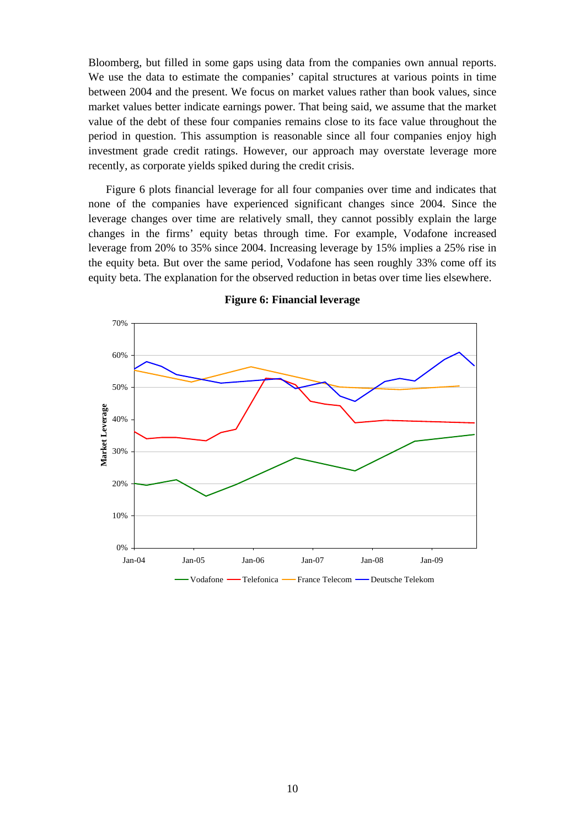Bloomberg, but filled in some gaps using data from the companies own annual reports. We use the data to estimate the companies' capital structures at various points in time between 2004 and the present. We focus on market values rather than book values, since market values better indicate earnings power. That being said, we assume that the market value of the debt of these four companies remains close to its face value throughout the period in question. This assumption is reasonable since all four companies enjoy high investment grade credit ratings. However, our approach may overstate leverage more recently, as corporate yields spiked during the credit crisis.

Figure 6 plots financial leverage for all four companies over time and indicates that none of the companies have experienced significant changes since 2004. Since the leverage changes over time are relatively small, they cannot possibly explain the large changes in the firms' equity betas through time. For example, Vodafone increased leverage from 20% to 35% since 2004. Increasing leverage by 15% implies a 25% rise in the equity beta. But over the same period, Vodafone has seen roughly 33% come off its equity beta. The explanation for the observed reduction in betas over time lies elsewhere.



**Figure 6: Financial leverage**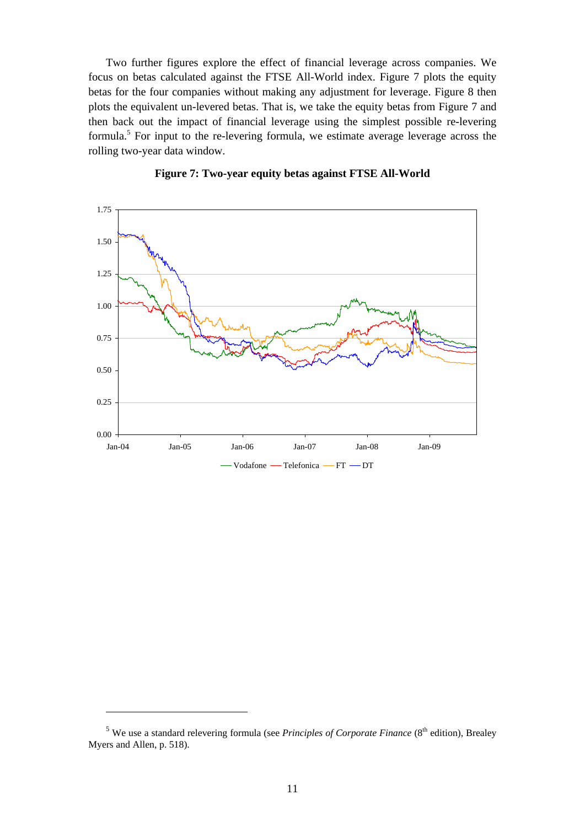Two further figures explore the effect of financial leverage across companies. We focus on betas calculated against the FTSE All-World index. Figure 7 plots the equity betas for the four companies without making any adjustment for leverage. Figure 8 then plots the equivalent un-levered betas. That is, we take the equity betas from Figure 7 and then back out the impact of financial leverage using the simplest possible re-levering formula.<sup>5</sup> For input to the re-levering formula, we estimate average leverage across the rolling two-year data window.





 $\overline{a}$ 

<sup>&</sup>lt;sup>5</sup> We use a standard relevering formula (see *Principles of Corporate Finance* (8<sup>th</sup> edition), Brealey Myers and Allen, p. 518).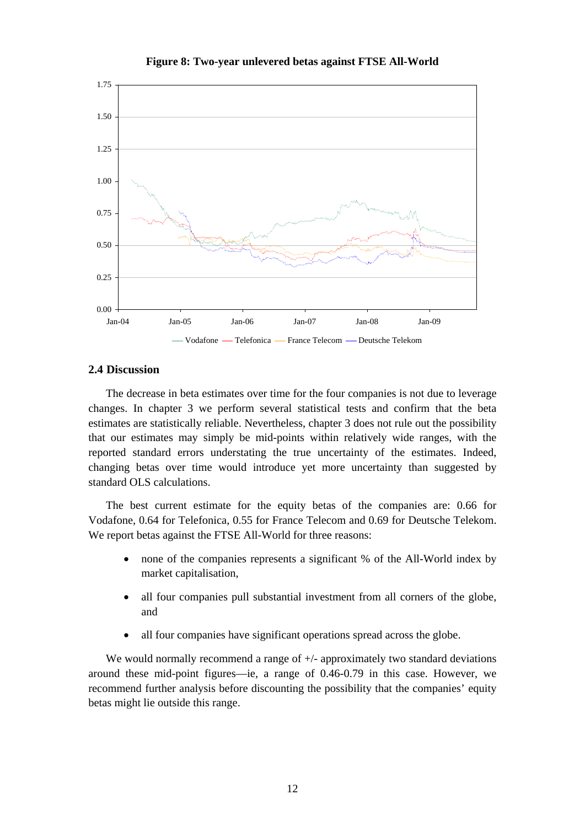

#### **Figure 8: Two-year unlevered betas against FTSE All-World**

#### **2.4 Discussion**

The decrease in beta estimates over time for the four companies is not due to leverage changes. In chapter 3 we perform several statistical tests and confirm that the beta estimates are statistically reliable. Nevertheless, chapter 3 does not rule out the possibility that our estimates may simply be mid-points within relatively wide ranges, with the reported standard errors understating the true uncertainty of the estimates. Indeed, changing betas over time would introduce yet more uncertainty than suggested by standard OLS calculations.

The best current estimate for the equity betas of the companies are: 0.66 for Vodafone, 0.64 for Telefonica, 0.55 for France Telecom and 0.69 for Deutsche Telekom. We report betas against the FTSE All-World for three reasons:

- none of the companies represents a significant % of the All-World index by market capitalisation,
- all four companies pull substantial investment from all corners of the globe, and
- all four companies have significant operations spread across the globe.

We would normally recommend a range of  $+/-$  approximately two standard deviations around these mid-point figures—ie, a range of 0.46-0.79 in this case. However, we recommend further analysis before discounting the possibility that the companies' equity betas might lie outside this range.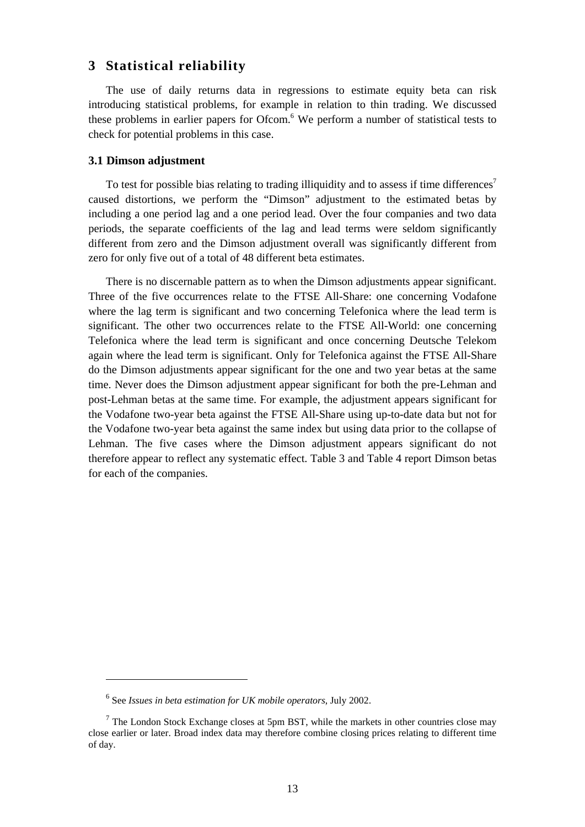## **3 Statistical reliability**

The use of daily returns data in regressions to estimate equity beta can risk introducing statistical problems, for example in relation to thin trading. We discussed these problems in earlier papers for Ofcom.<sup>6</sup> We perform a number of statistical tests to check for potential problems in this case.

#### **3.1 Dimson adjustment**

To test for possible bias relating to trading illiquidity and to assess if time differences<sup>7</sup> caused distortions, we perform the "Dimson" adjustment to the estimated betas by including a one period lag and a one period lead. Over the four companies and two data periods, the separate coefficients of the lag and lead terms were seldom significantly different from zero and the Dimson adjustment overall was significantly different from zero for only five out of a total of 48 different beta estimates.

There is no discernable pattern as to when the Dimson adjustments appear significant. Three of the five occurrences relate to the FTSE All-Share: one concerning Vodafone where the lag term is significant and two concerning Telefonica where the lead term is significant. The other two occurrences relate to the FTSE All-World: one concerning Telefonica where the lead term is significant and once concerning Deutsche Telekom again where the lead term is significant. Only for Telefonica against the FTSE All-Share do the Dimson adjustments appear significant for the one and two year betas at the same time. Never does the Dimson adjustment appear significant for both the pre-Lehman and post-Lehman betas at the same time. For example, the adjustment appears significant for the Vodafone two-year beta against the FTSE All-Share using up-to-date data but not for the Vodafone two-year beta against the same index but using data prior to the collapse of Lehman. The five cases where the Dimson adjustment appears significant do not therefore appear to reflect any systematic effect. Table 3 and Table 4 report Dimson betas for each of the companies.

<sup>6</sup> See *Issues in beta estimation for UK mobile operators*, July 2002.

 $<sup>7</sup>$  The London Stock Exchange closes at 5pm BST, while the markets in other countries close may</sup> close earlier or later. Broad index data may therefore combine closing prices relating to different time of day.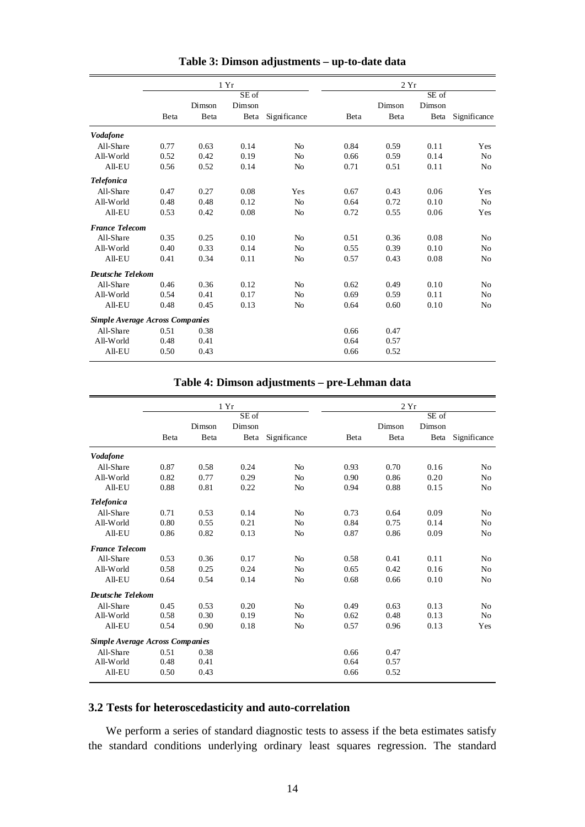|                                        |      |        | 1 Yr   |                |      | 2Yr    |        |                |
|----------------------------------------|------|--------|--------|----------------|------|--------|--------|----------------|
|                                        |      |        | SE of  |                |      |        | SE of  |                |
|                                        |      | Dimson | Dimson |                |      | Dimson | Dimson |                |
|                                        | Beta | Beta   | Beta   | Significance   | Beta | Beta   | Beta   | Significance   |
| <b>Vodafone</b>                        |      |        |        |                |      |        |        |                |
| All-Share                              | 0.77 | 0.63   | 0.14   | N <sub>o</sub> | 0.84 | 0.59   | 0.11   | Yes            |
| All-World                              | 0.52 | 0.42   | 0.19   | N <sub>o</sub> | 0.66 | 0.59   | 0.14   | N <sub>0</sub> |
| $All-EU$                               | 0.56 | 0.52   | 0.14   | N <sub>0</sub> | 0.71 | 0.51   | 0.11   | N <sub>0</sub> |
| <b>Telefonica</b>                      |      |        |        |                |      |        |        |                |
| All-Share                              | 0.47 | 0.27   | 0.08   | Yes            | 0.67 | 0.43   | 0.06   | Yes            |
| All-World                              | 0.48 | 0.48   | 0.12   | No             | 0.64 | 0.72   | 0.10   | N <sub>0</sub> |
| $All-EU$                               | 0.53 | 0.42   | 0.08   | N <sub>o</sub> | 0.72 | 0.55   | 0.06   | Yes            |
| <b>France Telecom</b>                  |      |        |        |                |      |        |        |                |
| All-Share                              | 0.35 | 0.25   | 0.10   | N <sub>o</sub> | 0.51 | 0.36   | 0.08   | No             |
| All-World                              | 0.40 | 0.33   | 0.14   | N <sub>o</sub> | 0.55 | 0.39   | 0.10   | N <sub>0</sub> |
| All-EU                                 | 0.41 | 0.34   | 0.11   | N <sub>o</sub> | 0.57 | 0.43   | 0.08   | No             |
| <b>Deutsche Telekom</b>                |      |        |        |                |      |        |        |                |
| All-Share                              | 0.46 | 0.36   | 0.12   | N <sub>o</sub> | 0.62 | 0.49   | 0.10   | N <sub>0</sub> |
| All-World                              | 0.54 | 0.41   | 0.17   | N <sub>o</sub> | 0.69 | 0.59   | 0.11   | N <sub>0</sub> |
| All-EU                                 | 0.48 | 0.45   | 0.13   | No             | 0.64 | 0.60   | 0.10   | N <sub>0</sub> |
| <b>Simple Average Across Companies</b> |      |        |        |                |      |        |        |                |
| All-Share                              | 0.51 | 0.38   |        |                | 0.66 | 0.47   |        |                |
| All-World                              | 0.48 | 0.41   |        |                | 0.64 | 0.57   |        |                |
| All-EU                                 | 0.50 | 0.43   |        |                | 0.66 | 0.52   |        |                |

**Table 3: Dimson adjustments – up-to-date data** 

### **Table 4: Dimson adjustments – pre-Lehman data**

|                                 |      |        | 1Yr    |                |      | 2Yr    |        |                |
|---------------------------------|------|--------|--------|----------------|------|--------|--------|----------------|
|                                 |      |        | SE of  |                |      |        | SE of  |                |
|                                 |      | Dimson | Dimson |                |      | Dimson | Dimson |                |
|                                 | Beta | Beta   | Beta   | Significance   | Beta | Beta   | Beta   | Significance   |
| <b>Vodafone</b>                 |      |        |        |                |      |        |        |                |
| All-Share                       | 0.87 | 0.58   | 0.24   | N <sub>o</sub> | 0.93 | 0.70   | 0.16   | N <sub>0</sub> |
| All-World                       | 0.82 | 0.77   | 0.29   | N <sub>o</sub> | 0.90 | 0.86   | 0.20   | N <sub>0</sub> |
| All-EU                          | 0.88 | 0.81   | 0.22   | N <sub>o</sub> | 0.94 | 0.88   | 0.15   | N <sub>0</sub> |
| <b>Telefonica</b>               |      |        |        |                |      |        |        |                |
| All-Share                       | 0.71 | 0.53   | 0.14   | N <sub>o</sub> | 0.73 | 0.64   | 0.09   | N <sub>0</sub> |
| All-World                       | 0.80 | 0.55   | 0.21   | No             | 0.84 | 0.75   | 0.14   | N <sub>0</sub> |
| $All-EU$                        | 0.86 | 0.82   | 0.13   | N <sub>o</sub> | 0.87 | 0.86   | 0.09   | N <sub>0</sub> |
| <b>France Telecom</b>           |      |        |        |                |      |        |        |                |
| All-Share                       | 0.53 | 0.36   | 0.17   | N <sub>o</sub> | 0.58 | 0.41   | 0.11   | N <sub>0</sub> |
| All-World                       | 0.58 | 0.25   | 0.24   | No             | 0.65 | 0.42   | 0.16   | No             |
| $All-EU$                        | 0.64 | 0.54   | 0.14   | N <sub>o</sub> | 0.68 | 0.66   | 0.10   | N <sub>0</sub> |
| Deutsche Telekom                |      |        |        |                |      |        |        |                |
| All-Share                       | 0.45 | 0.53   | 0.20   | N <sub>o</sub> | 0.49 | 0.63   | 0.13   | N <sub>0</sub> |
| All-World                       | 0.58 | 0.30   | 0.19   | No             | 0.62 | 0.48   | 0.13   | N <sub>0</sub> |
| $All-EU$                        | 0.54 | 0.90   | 0.18   | N <sub>o</sub> | 0.57 | 0.96   | 0.13   | Yes            |
| Simple Average Across Companies |      |        |        |                |      |        |        |                |
| All-Share                       | 0.51 | 0.38   |        |                | 0.66 | 0.47   |        |                |
| All-World                       | 0.48 | 0.41   |        |                | 0.64 | 0.57   |        |                |
| $All-EU$                        | 0.50 | 0.43   |        |                | 0.66 | 0.52   |        |                |

## **3.2 Tests for heteroscedasticity and auto-correlation**

We perform a series of standard diagnostic tests to assess if the beta estimates satisfy the standard conditions underlying ordinary least squares regression. The standard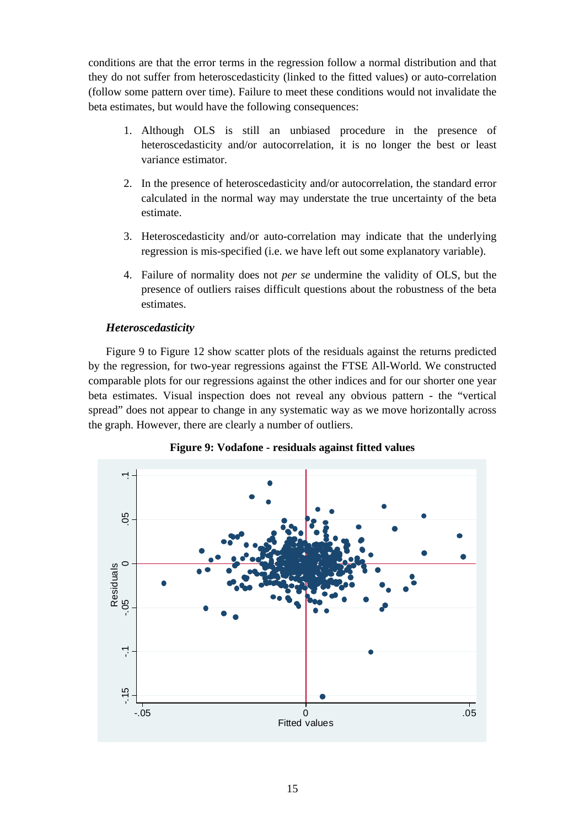conditions are that the error terms in the regression follow a normal distribution and that they do not suffer from heteroscedasticity (linked to the fitted values) or auto-correlation (follow some pattern over time). Failure to meet these conditions would not invalidate the beta estimates, but would have the following consequences:

- 1. Although OLS is still an unbiased procedure in the presence of heteroscedasticity and/or autocorrelation, it is no longer the best or least variance estimator.
- 2. In the presence of heteroscedasticity and/or autocorrelation, the standard error calculated in the normal way may understate the true uncertainty of the beta estimate.
- 3. Heteroscedasticity and/or auto-correlation may indicate that the underlying regression is mis-specified (i.e. we have left out some explanatory variable).
- 4. Failure of normality does not *per se* undermine the validity of OLS, but the presence of outliers raises difficult questions about the robustness of the beta estimates.

### *Heteroscedasticity*

Figure 9 to Figure 12 show scatter plots of the residuals against the returns predicted by the regression, for two-year regressions against the FTSE All-World. We constructed comparable plots for our regressions against the other indices and for our shorter one year beta estimates. Visual inspection does not reveal any obvious pattern - the "vertical spread" does not appear to change in any systematic way as we move horizontally across the graph. However, there are clearly a number of outliers.



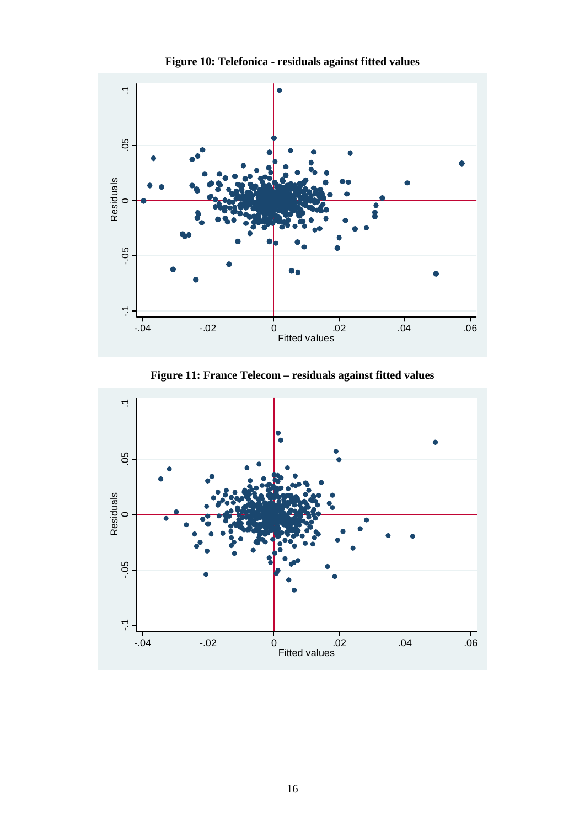

**Figure 10: Telefonica - residuals against fitted values** 

**Figure 11: France Telecom – residuals against fitted values** 

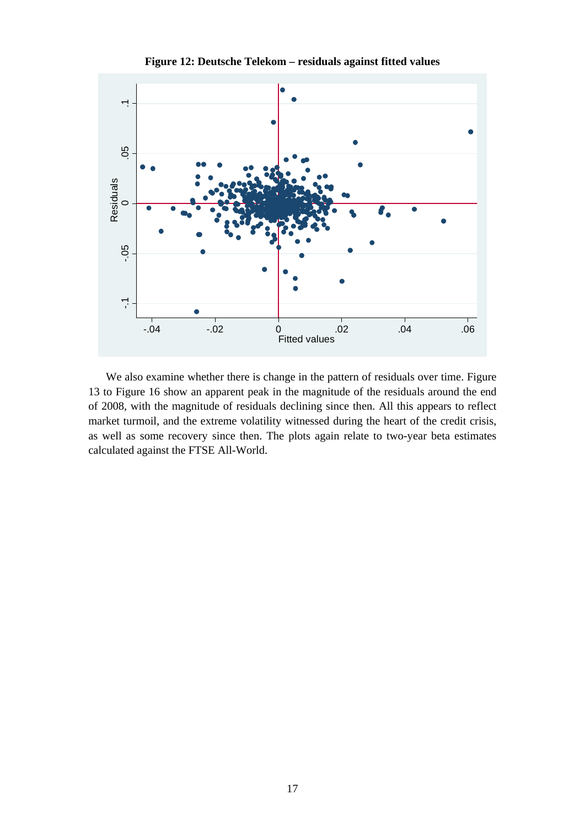

**Figure 12: Deutsche Telekom – residuals against fitted values** 

We also examine whether there is change in the pattern of residuals over time. Figure 13 to Figure 16 show an apparent peak in the magnitude of the residuals around the end of 2008, with the magnitude of residuals declining since then. All this appears to reflect market turmoil, and the extreme volatility witnessed during the heart of the credit crisis, as well as some recovery since then. The plots again relate to two-year beta estimates calculated against the FTSE All-World.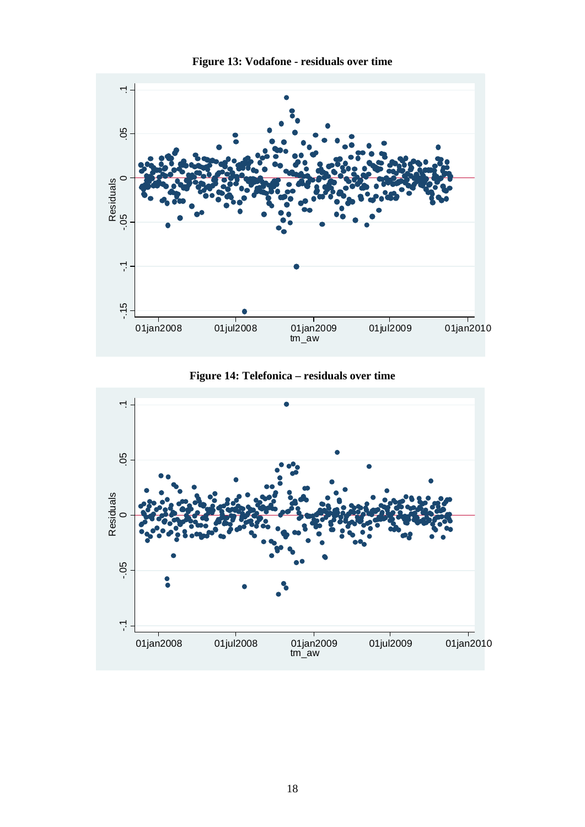

**Figure 14: Telefonica – residuals over time** 



**Figure 13: Vodafone - residuals over time**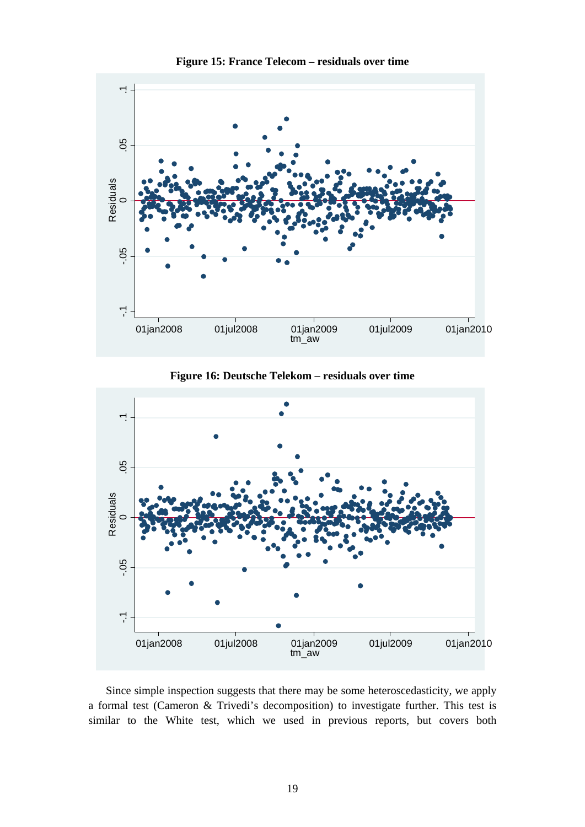



**Figure 16: Deutsche Telekom – residuals over time** 



Since simple inspection suggests that there may be some heteroscedasticity, we apply a formal test (Cameron & Trivedi's decomposition) to investigate further. This test is similar to the White test, which we used in previous reports, but covers both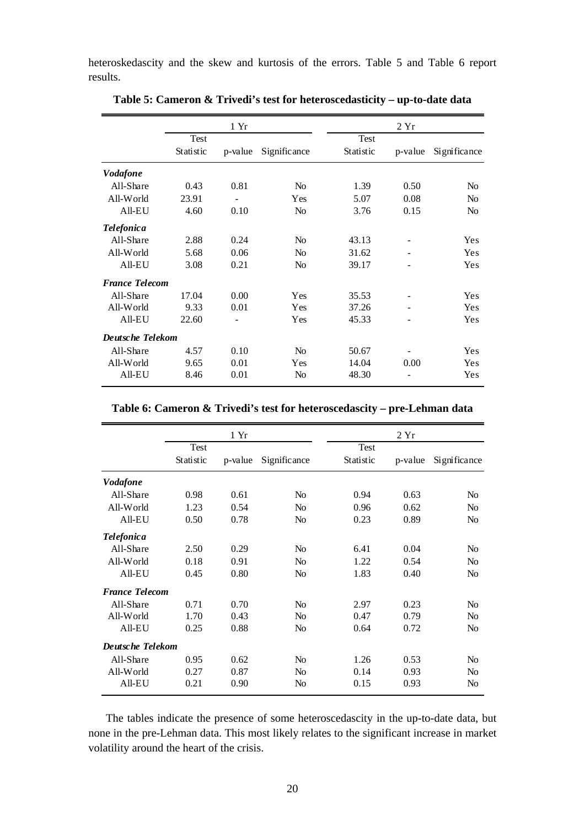heteroskedascity and the skew and kurtosis of the errors. Table 5 and Table 6 report results.

|                         |           | 1 Yr    |                |           | 2Yr     |                |  |  |
|-------------------------|-----------|---------|----------------|-----------|---------|----------------|--|--|
|                         | Test      |         |                | Test      |         |                |  |  |
|                         | Statistic | p-value | Significance   | Statistic | p-value | Significance   |  |  |
| <b>Vodafone</b>         |           |         |                |           |         |                |  |  |
| All-Share               | 0.43      | 0.81    | N <sub>o</sub> | 1.39      | 0.50    | N <sub>o</sub> |  |  |
| All-World               | 23.91     |         | Yes            | 5.07      | 0.08    | No             |  |  |
| All-EU                  | 4.60      | 0.10    | N <sub>o</sub> | 3.76      | 0.15    | N <sub>0</sub> |  |  |
| <b>Telefonica</b>       |           |         |                |           |         |                |  |  |
| All-Share               | 2.88      | 0.24    | N <sub>0</sub> | 43.13     |         | Yes            |  |  |
| All-World               | 5.68      | 0.06    | N <sub>o</sub> | 31.62     |         | <b>Yes</b>     |  |  |
| All-EU                  | 3.08      | 0.21    | N <sub>0</sub> | 39.17     |         | Yes            |  |  |
| <b>France Telecom</b>   |           |         |                |           |         |                |  |  |
| All-Share               | 17.04     | 0.00    | Yes            | 35.53     |         | Yes            |  |  |
| All-World               | 9.33      | 0.01    | Yes            | 37.26     |         | Yes            |  |  |
| All-EU                  | 22.60     |         | Yes            | 45.33     |         | Yes            |  |  |
| <b>Deutsche Telekom</b> |           |         |                |           |         |                |  |  |
| All-Share               | 4.57      | 0.10    | N <sub>o</sub> | 50.67     |         | Yes            |  |  |
| All-World               | 9.65      | 0.01    | Yes            | 14.04     | 0.00    | Yes            |  |  |
| All-EU                  | 8.46      | 0.01    | N <sub>0</sub> | 48.30     |         | Yes            |  |  |

**Table 5: Cameron & Trivedi's test for heteroscedasticity – up-to-date data** 

|                       |           | 1 Yr    |                |           | 2Yr     |                |
|-----------------------|-----------|---------|----------------|-----------|---------|----------------|
|                       | Test      |         |                | Test      |         |                |
|                       | Statistic | p-value | Significance   | Statistic | p-value | Significance   |
| <b>Vodafone</b>       |           |         |                |           |         |                |
| All-Share             | 0.98      | 0.61    | N <sub>0</sub> | 0.94      | 0.63    | N <sub>0</sub> |
| All-World             | 1.23      | 0.54    | N <sub>0</sub> | 0.96      | 0.62    | N <sub>0</sub> |
| $All-EU$              | 0.50      | 0.78    | N <sub>0</sub> | 0.23      | 0.89    | N <sub>o</sub> |
| <i>Telefonica</i>     |           |         |                |           |         |                |
| All-Share             | 2.50      | 0.29    | N <sub>0</sub> | 6.41      | 0.04    | N <sub>o</sub> |
| All-World             | 0.18      | 0.91    | N <sub>0</sub> | 1.22      | 0.54    | N <sub>0</sub> |
| $All-EU$              | 0.45      | 0.80    | N <sub>0</sub> | 1.83      | 0.40    | N <sub>0</sub> |
| <b>France Telecom</b> |           |         |                |           |         |                |
| All-Share             | 0.71      | 0.70    | N <sub>0</sub> | 2.97      | 0.23    | N <sub>o</sub> |
| All-World             | 1.70      | 0.43    | N <sub>0</sub> | 0.47      | 0.79    | No             |
| $All-EU$              | 0.25      | 0.88    | N <sub>0</sub> | 0.64      | 0.72    | No             |
| Deutsche Telekom      |           |         |                |           |         |                |
| All-Share             | 0.95      | 0.62    | N <sub>o</sub> | 1.26      | 0.53    | No             |
| All-World             | 0.27      | 0.87    | N <sub>0</sub> | 0.14      | 0.93    | N <sub>0</sub> |
| All-EU                | 0.21      | 0.90    | N <sub>0</sub> | 0.15      | 0.93    | No             |

The tables indicate the presence of some heteroscedascity in the up-to-date data, but none in the pre-Lehman data. This most likely relates to the significant increase in market volatility around the heart of the crisis.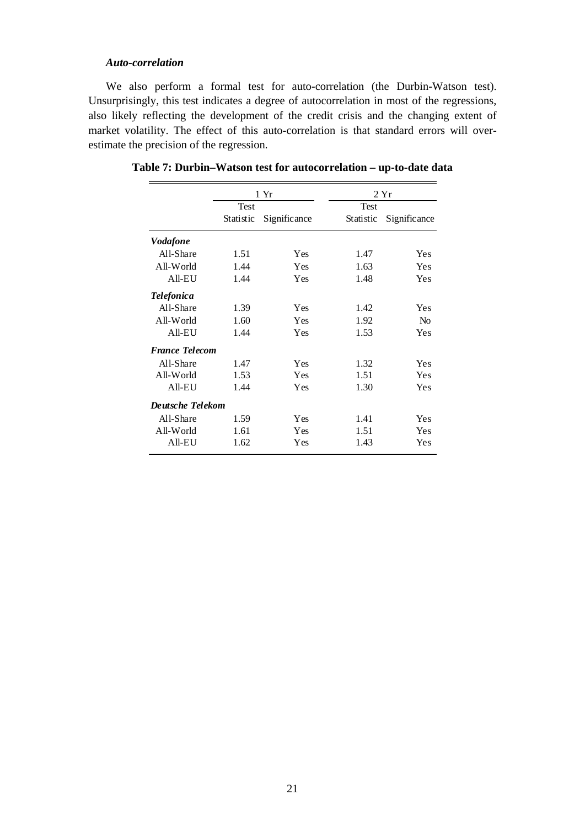#### *Auto-correlation*

We also perform a formal test for auto-correlation (the Durbin-Watson test). Unsurprisingly, this test indicates a degree of autocorrelation in most of the regressions, also likely reflecting the development of the credit crisis and the changing extent of market volatility. The effect of this auto-correlation is that standard errors will overestimate the precision of the regression.

|                         |           | 1 Yr         |           | 2Yr            |
|-------------------------|-----------|--------------|-----------|----------------|
|                         | Test      |              | Test      |                |
|                         | Statistic | Significance | Statistic | Significance   |
| <b>Vodafone</b>         |           |              |           |                |
| All-Share               | 1.51      | Yes          | 1.47      | Yes            |
| All-World               | 1.44      | Yes          | 1.63      | Yes            |
| All-EU                  | 1.44      | Yes          | 1.48      | Yes            |
| <b>Telefonica</b>       |           |              |           |                |
| All-Share               | 1.39      | Yes          | 1.42      | Yes            |
| All-World               | 1.60      | Yes          | 1.92      | N <sub>o</sub> |
| All-EU                  | 1.44      | Yes          | 1.53      | <b>Yes</b>     |
| <b>France Telecom</b>   |           |              |           |                |
| All-Share               | 1.47      | Yes          | 1.32      | Yes            |
| All-World               | 1.53      | Yes          | 1.51      | Yes            |
| All-EU                  | 1.44      | Yes          | 1.30      | Yes            |
| <b>Deutsche Telekom</b> |           |              |           |                |
| All-Share               | 1.59      | Yes          | 1.41      | Yes            |
| All-World               | 1.61      | Yes          | 1.51      | Yes            |
| $All-EU$                | 1.62      | Yes          | 1.43      | Yes            |

**Table 7: Durbin–Watson test for autocorrelation – up-to-date data**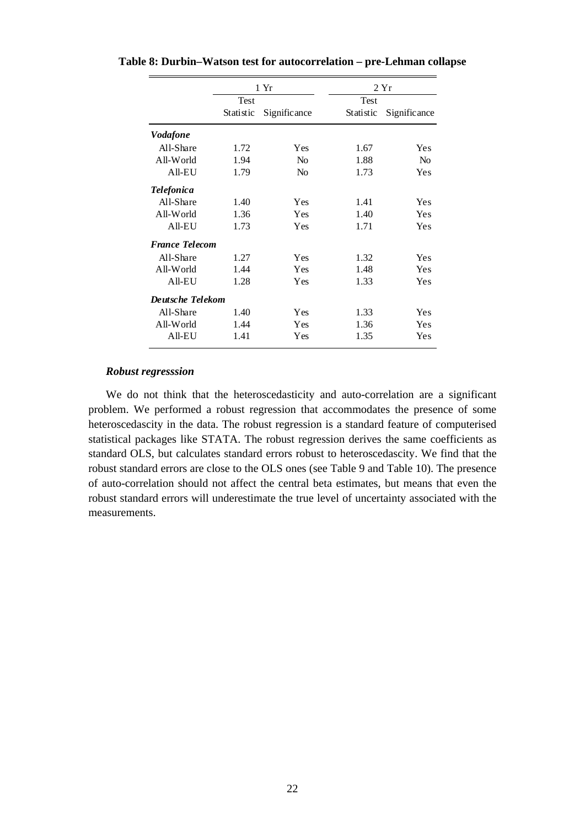|                       |             | 1 Yr           |             | 2Yr            |
|-----------------------|-------------|----------------|-------------|----------------|
|                       | <b>Test</b> |                | <b>Test</b> |                |
|                       | Statistic   | Significance   | Statistic   | Significance   |
| <b>Vodafone</b>       |             |                |             |                |
| All-Share             | 1.72        | Yes            | 1.67        | <b>Yes</b>     |
| All-World             | 1.94        | N <sub>0</sub> | 1.88        | N <sub>0</sub> |
| All-EU                | 1.79        | N <sub>0</sub> | 1.73        | Yes            |
| <b>Telefonica</b>     |             |                |             |                |
| All-Share             | 1.40        | Yes            | 1.41        | Yes            |
| All-World             | 1.36        | Yes            | 1.40        | Yes            |
| $All-EU$              | 1.73        | Yes            | 1.71        | Yes            |
| <b>France Telecom</b> |             |                |             |                |
| All-Share             | 1.27        | Yes            | 1.32        | Yes            |
| All-World             | 1.44        | Yes            | 1.48        | Yes            |
| $All-EU$              | 1.28        | Yes            | 1.33        | Yes            |
| Deutsche Telekom      |             |                |             |                |
| All-Share             | 1.40        | Yes            | 1.33        | Yes            |
| All-World             | 1.44        | Yes            | 1.36        | Yes            |
| $All-EU$              | 1.41        | Yes            | 1.35        | Yes            |

**Table 8: Durbin–Watson test for autocorrelation – pre-Lehman collapse** 

#### *Robust regresssion*

We do not think that the heteroscedasticity and auto-correlation are a significant problem. We performed a robust regression that accommodates the presence of some heteroscedascity in the data. The robust regression is a standard feature of computerised statistical packages like STATA. The robust regression derives the same coefficients as standard OLS, but calculates standard errors robust to heteroscedascity. We find that the robust standard errors are close to the OLS ones (see Table 9 and Table 10). The presence of auto-correlation should not affect the central beta estimates, but means that even the robust standard errors will underestimate the true level of uncertainty associated with the measurements.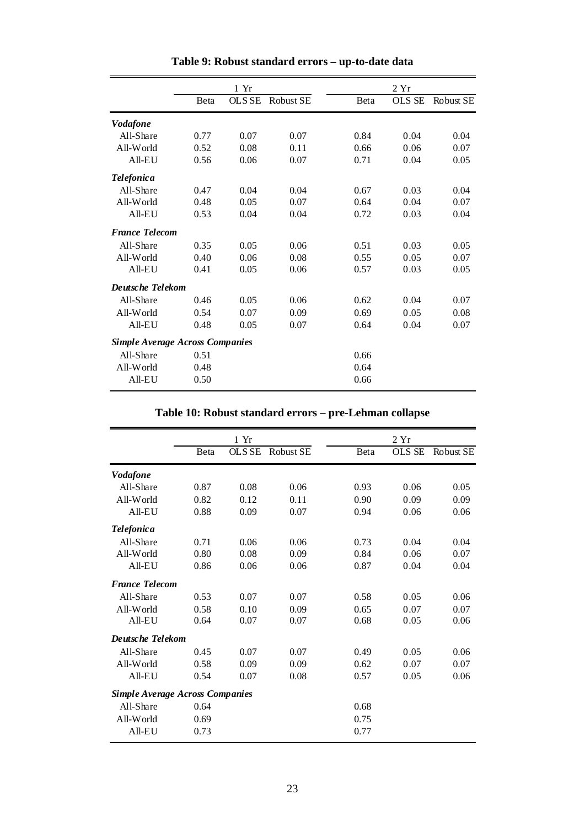|                                        |              | 1 Yr   |                  |      | 2Yr           |           |
|----------------------------------------|--------------|--------|------------------|------|---------------|-----------|
|                                        | <b>B</b> eta | OLS SE | <b>Robust SE</b> | Beta | <b>OLS SE</b> | Robust SE |
| <b>Vodafone</b>                        |              |        |                  |      |               |           |
| All-Share                              | 0.77         | 0.07   | 0.07             | 0.84 | 0.04          | 0.04      |
| All-World                              | 0.52         | 0.08   | 0.11             | 0.66 | 0.06          | 0.07      |
| All-EU                                 | 0.56         | 0.06   | 0.07             | 0.71 | 0.04          | 0.05      |
| <b>Telefonica</b>                      |              |        |                  |      |               |           |
| All-Share                              | 0.47         | 0.04   | 0.04             | 0.67 | 0.03          | 0.04      |
| All-World                              | 0.48         | 0.05   | 0.07             | 0.64 | 0.04          | 0.07      |
| All-EU                                 | 0.53         | 0.04   | 0.04             | 0.72 | 0.03          | 0.04      |
| <b>France Telecom</b>                  |              |        |                  |      |               |           |
| All-Share                              | 0.35         | 0.05   | 0.06             | 0.51 | 0.03          | 0.05      |
| All-World                              | 0.40         | 0.06   | 0.08             | 0.55 | 0.05          | 0.07      |
| All-EU                                 | 0.41         | 0.05   | 0.06             | 0.57 | 0.03          | 0.05      |
| Deutsche Telekom                       |              |        |                  |      |               |           |
| All-Share                              | 0.46         | 0.05   | 0.06             | 0.62 | 0.04          | 0.07      |
| All-World                              | 0.54         | 0.07   | 0.09             | 0.69 | 0.05          | 0.08      |
| All-EU                                 | 0.48         | 0.05   | 0.07             | 0.64 | 0.04          | 0.07      |
| <b>Simple Average Across Companies</b> |              |        |                  |      |               |           |
| All-Share                              | 0.51         |        |                  | 0.66 |               |           |
| All-World                              | 0.48         |        |                  | 0.64 |               |           |
| All-EU                                 | 0.50         |        |                  | 0.66 |               |           |

# **Table 9: Robust standard errors – up-to-date data**

## **Table 10: Robust standard errors – pre-Lehman collapse**

|                                        |      | 1 Yr          |                  |      | 2Yr           |           |
|----------------------------------------|------|---------------|------------------|------|---------------|-----------|
|                                        | Beta | <b>OLS SE</b> | <b>Robust SE</b> | Beta | <b>OLS SE</b> | Robust SE |
| <b>Vodafone</b>                        |      |               |                  |      |               |           |
| All-Share                              | 0.87 | 0.08          | 0.06             | 0.93 | 0.06          | 0.05      |
| All-World                              | 0.82 | 0.12          | 0.11             | 0.90 | 0.09          | 0.09      |
| All-EU                                 | 0.88 | 0.09          | 0.07             | 0.94 | 0.06          | 0.06      |
| <b>Telefonica</b>                      |      |               |                  |      |               |           |
| All-Share                              | 0.71 | 0.06          | 0.06             | 0.73 | 0.04          | 0.04      |
| All-World                              | 0.80 | 0.08          | 0.09             | 0.84 | 0.06          | 0.07      |
| All-EU                                 | 0.86 | 0.06          | 0.06             | 0.87 | 0.04          | 0.04      |
| <b>France Telecom</b>                  |      |               |                  |      |               |           |
| All-Share                              | 0.53 | 0.07          | 0.07             | 0.58 | 0.05          | 0.06      |
| All-World                              | 0.58 | 0.10          | 0.09             | 0.65 | 0.07          | 0.07      |
| All-EU                                 | 0.64 | 0.07          | 0.07             | 0.68 | 0.05          | 0.06      |
| Deutsche Telekom                       |      |               |                  |      |               |           |
| All-Share                              | 0.45 | 0.07          | 0.07             | 0.49 | 0.05          | 0.06      |
| All-World                              | 0.58 | 0.09          | 0.09             | 0.62 | 0.07          | 0.07      |
| All-EU                                 | 0.54 | 0.07          | 0.08             | 0.57 | 0.05          | 0.06      |
| <b>Simple Average Across Companies</b> |      |               |                  |      |               |           |
| All-Share                              | 0.64 |               |                  | 0.68 |               |           |
| All-World                              | 0.69 |               |                  | 0.75 |               |           |
| All-EU                                 | 0.73 |               |                  | 0.77 |               |           |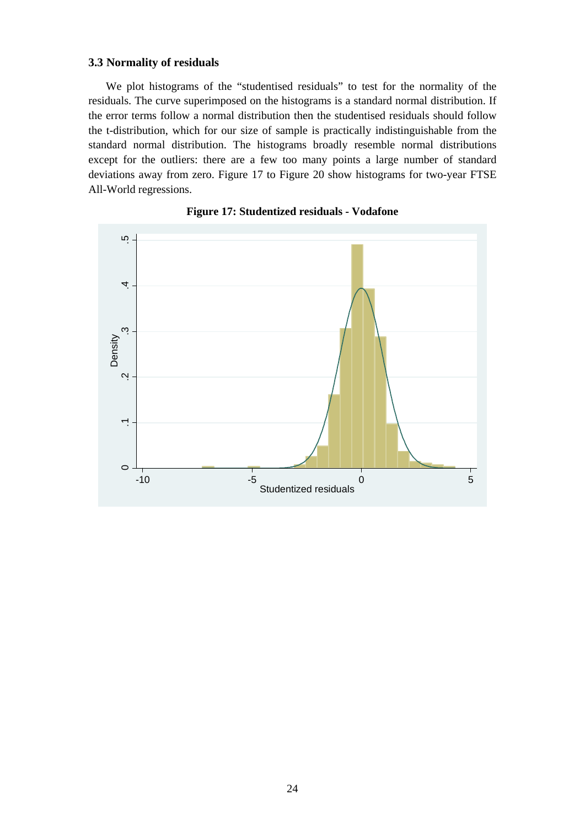#### **3.3 Normality of residuals**

We plot histograms of the "studentised residuals" to test for the normality of the residuals. The curve superimposed on the histograms is a standard normal distribution. If the error terms follow a normal distribution then the studentised residuals should follow the t-distribution, which for our size of sample is practically indistinguishable from the standard normal distribution. The histograms broadly resemble normal distributions except for the outliers: there are a few too many points a large number of standard deviations away from zero. Figure 17 to Figure 20 show histograms for two-year FTSE All-World regressions.

![](_page_25_Figure_2.jpeg)

![](_page_25_Figure_3.jpeg)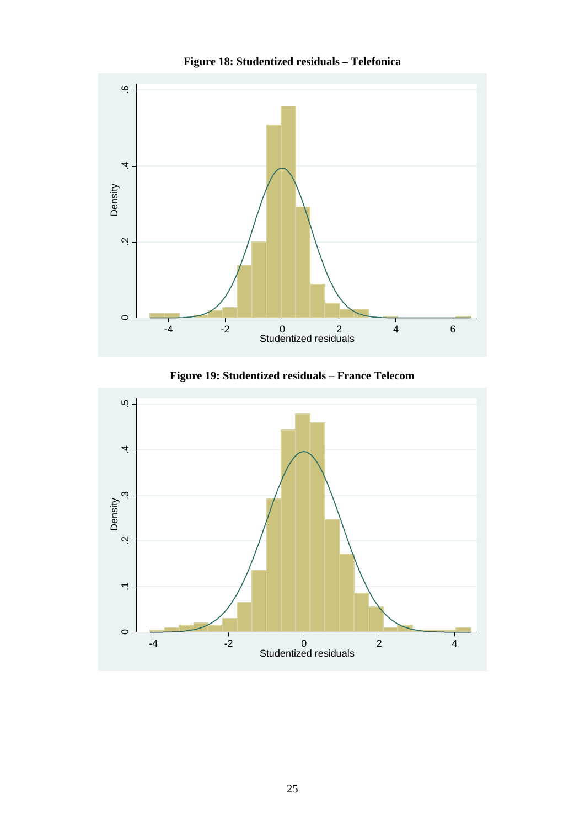![](_page_26_Figure_0.jpeg)

![](_page_26_Figure_1.jpeg)

**Figure 19: Studentized residuals – France Telecom** 

![](_page_26_Figure_3.jpeg)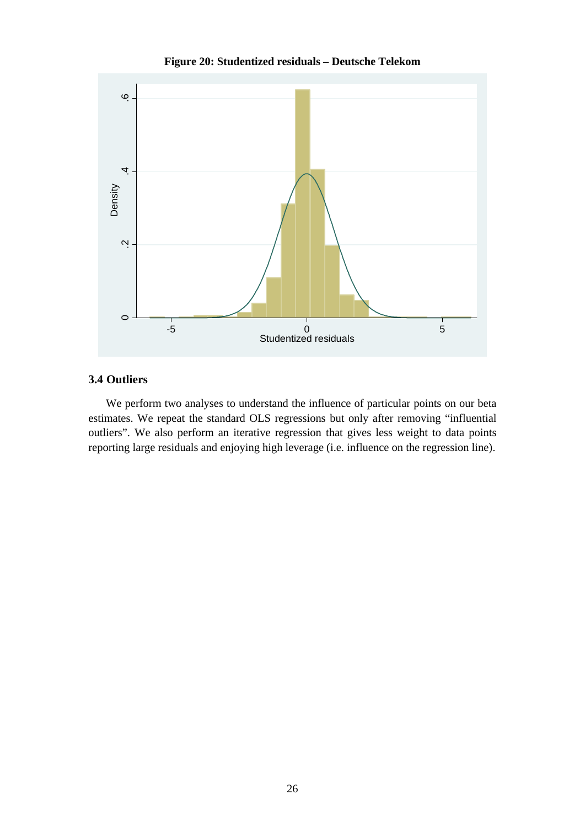![](_page_27_Figure_0.jpeg)

![](_page_27_Figure_1.jpeg)

## **3.4 Outliers**

We perform two analyses to understand the influence of particular points on our beta estimates. We repeat the standard OLS regressions but only after removing "influential outliers". We also perform an iterative regression that gives less weight to data points reporting large residuals and enjoying high leverage (i.e. influence on the regression line).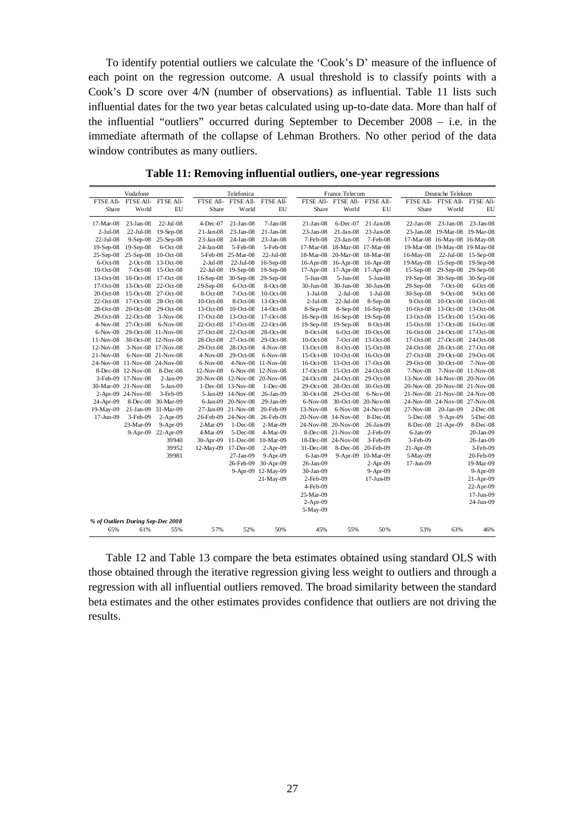To identify potential outliers we calculate the 'Cook's D' measure of the influence of each point on the regression outcome. A usual threshold is to classify points with a Cook's D score over 4/N (number of observations) as influential. Table 11 lists such influential dates for the two year betas calculated using up-to-date data. More than half of the influential "outliers" occurred during September to December 2008 – i.e. in the immediate aftermath of the collapse of Lehman Brothers. No other period of the data window contributes as many outliers.

| Vodafone                          |                    |                               | Telefonica   |                               |                     | France Telecom  |                     |                     | Deutsche Telekom |                               |                    |
|-----------------------------------|--------------------|-------------------------------|--------------|-------------------------------|---------------------|-----------------|---------------------|---------------------|------------------|-------------------------------|--------------------|
| FTSE All-                         |                    | FTSE All- FTSE All-           | FTSE All-    |                               | FTSE All- FTSE All- | FTSE All-       |                     | FTSE All- FTSE All- | FTSE All-        | FTSE All- FTSE All-           |                    |
| Share                             | World              | EU                            | Share        | World                         | EU                  | Share           | World               | EU                  | Share            | World                         | EU                 |
| 17-Mar-08                         | $23-Jan-08$        | $22$ -Jul-08                  | 4-Dec-07     | $21-Jan-08$                   | $7-Jan-08$          | $21-Jan-08$     | 6-Dec-07            | $21-Jan-08$         | $22-Ian-08$      | $23-Jan-08$                   | $23-Jan-08$        |
| $2-Jul-08$                        | $22-Jul-08$        | $19-$ Sep $-08$               | 21-Jan-08    | $23-Jan-08$                   | $21-Jan-08$         | $23-Jan-08$     | $21-Ian-08$         | $23-Jan-08$         |                  | 23-Jan-08 19-Mar-08 19-Mar-08 |                    |
| 22-Jul-08                         | $9-Sep-08$         | $25-$ Sep $-08$               | $23$ -Jan-08 | 24-Jan-08                     | $23-Jan-08$         | 7-Feb-08        | $23$ -Jan-08        | 7-Feb-08            |                  | 17-Mar-08 16-May-08 16-May-08 |                    |
| 19-Sep-08                         | $19-Sep-08$        | $6$ -Oct-08                   | 24-Jan-08    | $5$ -Feb $-08$                | 5-Feb-08            | 17-Mar-08       |                     | 18-Mar-08 17-Mar-08 |                  | 19-Mar-08 19-May-08 19-May-08 |                    |
| $25-Sep-08$                       | $25-Sep-08$        | $10$ -Oct-08                  | 5-Feb-08     | 25-Mar-08                     | 22-Jul-08           | 18-Mar-08       | 20-Mar-08           | 18-Mar-08           | 16-May-08        | $22$ -Jul-08                  | $15-$ Sep $-08$    |
| $6$ -Oct-08                       | $2$ -Oct-08        | $13-Oct-08$                   | $2-Ju1-08$   | $22$ -Jul-08                  | $16-Sep-08$         | $16$ -Apr-08    | $16$ -Apr-08        | $16$ -Apr-08        | 19-May-08        | $15-Sep-08$                   | $19-$ Sep $-08$    |
| $10$ -Oct-08                      | $7-Oct-08$         | $15-Oct-08$                   | 22-Jul-08    | $19-Sep-08$                   | $19-Sep-08$         | $17-Apr-08$     | $17-Apr-08$         | $17-Apr-08$         | $15-Sep-08$      | $29-Sep-08$                   | $29-$ Sep $-08$    |
| $13-Oct-08$                       | $10-Oct-08$        | 17-Oct-08                     | $16-Sep-08$  | $30-Sep-08$                   | $29-Sep-08$         | $5-Jun-08$      | $5-J$ un- $08$      | $5 - Jun-08$        | $19-Sep-08$      | $30-Sep-08$                   | $30-$ Sep $-08$    |
| $17-Oct-08$                       | $13-Oct-08$        | 22-Oct-08                     | 29-Sep-08    | $6$ -Oct-08                   | 8-Oct-08            | 30-Jun-08       | 30-Jun-08           | 30-Jun-08           | 29-Sep-08        | $7-Oct-08$                    | $6-Oct-08$         |
| $20$ -Oct-08                      | $15-Oct-08$        | 27-Oct-08                     | 8-Oct-08     | $7-Oct-08$                    | $10-Oct-08$         | $1-Jul-08$      | $2-Jul-08$          | 1-Jul-08            | 30-Sep-08        | $9-Oct-08$                    | $9-Oct-08$         |
| 22-Oct-08                         | $17-Oct-08$        | 28-Oct-08                     | 10-Oct-08    | 8-Oct-08                      | $13-Oct-08$         | $2-Jul-08$      | 22-Jul-08           | $8-Sep-08$          | $9$ -Oct-08      | $10-Oct-08$                   | $10-Oct-08$        |
| 28-Oct-08                         | $20$ -Oct-08       | 29-Oct-08                     | 13-Oct-08    | $10$ -Oct-08                  | $14-Oct-08$         | $8-$ Sep $-08$  | $8-Sep-08$          | 16-Sep-08           | $10$ -Oct-08     | $13-Oct-08$                   | 13-Oct-08          |
| $29-Oct-08$                       | $22$ -Oct-08       | $3-Nov-08$                    | $17-Oct-08$  | $13-Oct-08$                   | $17-Oct-08$         | $16-$ Sep $-08$ | $16-Sep-08$         | $19-Sep-08$         | $13-Oct-08$      | $15-Oct-08$                   | 15-Oct-08          |
| $4-Nov-08$                        | $27-Oct-08$        | 6-Nov-08                      | 22-Oct-08    | 17-Oct-08                     | $22-Oct-08$         | 19-Sep-08       | $19-Sep-08$         | 8-Oct-08            | 15-Oct-08        | $17-Oct-08$                   | 16-Oct-08          |
| $6-Nov-08$                        |                    | 29-Oct-08 11-Nov-08           | 27-Oct-08    | 22-Oct-08                     | 28-Oct-08           | 8-Oct-08        | $6$ -Oct-08         | $10$ -Oct-08        | 16-Oct-08        | $24-Oct-08$                   | 17-Oct-08          |
| $11-Nov-08$                       |                    | 30-Oct-08 12-Nov-08           | 28-Oct-08    | 27-Oct-08                     | 29-Oct-08           | $10-Oct-08$     | $7-Oct-08$          | 13-Oct-08           | 17-Oct-08        | $27-Oct-08$                   | 24-Oct-08          |
| $12-Nov-08$                       |                    | 3-Nov-08 17-Nov-08            | 29-Oct-08    | 28-Oct-08                     | $4-Nov-08$          | $13-Oct-08$     | 8-Oct-08            | $15-Oct-08$         | 24-Oct-08        | 28-Oct-08                     | 27-Oct-08          |
| $21-Nov-08$                       |                    | 6-Nov-08 21-Nov-08            | $4-Nov-08$   | $29-Oct-08$                   | 6-Nov-08            | $15-Oct-08$     | $10$ -Oct-08        | $16-Oct-08$         | $27-Oct-08$      | $29-Oct-08$                   | 29-Oct-08          |
|                                   |                    | 24-Nov-08 11-Nov-08 24-Nov-08 | $6-Nov-08$   |                               | 4-Nov-08 11-Nov-08  | $16-Oct-08$     | 13-Oct-08           | $17-Oct-08$         | 29-Oct-08        | $30-Oct-08$                   | 7-Nov-08           |
|                                   | 8-Dec-08 12-Nov-08 | $8-Dec-08$                    | $12-Nov-08$  | $6-Nov-08$                    | 12-Nov-08           | $17-Oct-08$     | 15-Oct-08           | 24-Oct-08           | 7-Nov-08         |                               | 7-Nov-08 11-Nov-08 |
|                                   | 3-Feb-09 17-Nov-08 | $2-Ian-09$                    |              | 20-Nov-08 12-Nov-08 20-Nov-08 |                     | 24-Oct-08       | 24-Oct-08           | 29-Oct-08           |                  | 13-Nov-08 14-Nov-08 20-Nov-08 |                    |
| 30-Mar-09 21-Nov-08               |                    | 5-Jan-09                      | $1-Dec-08$   | 13-Nov-08                     | $1-Dec-08$          | $29-Oct-08$     | 28-Oct-08           | 30-Oct-08           |                  | 20-Nov-08 20-Nov-08 21-Nov-08 |                    |
|                                   | 2-Apr-09 24-Nov-08 | 3-Feb-09                      | 5-Jan-09     | 14-Nov-08                     | 26-Jan-09           | 30-Oct-08       | $29-Oct-08$         | $6-No$ v-08         |                  | 21-Nov-08 21-Nov-08 24-Nov-08 |                    |
| 24-Apr-09                         | $8-Dec-08$         | 30-Mar-09                     | 6-Jan-09     | 20-Nov-08                     | 29-Jan-09           | $6-Nov-08$      | $30$ -Oct-08        | $20-Nov-08$         |                  | 24-Nov-08 24-Nov-08 27-Nov-08 |                    |
| 19-May-09                         |                    | 21-Jan-09 31-Mar-09           |              | 27-Jan-09 21-Nov-08           | 20-Feb-09           | $13-Nov-08$     |                     | 6-Nov-08 24-Nov-08  | 27-Nov-08        | $20-Ian-09$                   | $2$ -Dec $-08$     |
| 17-Jun-09                         | 3-Feb-09           | $2-Apr-09$                    | 26-Feb-09    | 24-Nov-08                     | 26-Feb-09           |                 | 20-Nov-08 14-Nov-08 | 8-Dec-08            | 5-Dec-08         | $9-Apr-09$                    | 5-Dec-08           |
|                                   | 23-Mar-09          | $9-Apr-09$                    | $2-Mar-09$   | $1-Dec-08$                    | $2-Mar-09$          |                 | 24-Nov-08 20-Nov-08 | $26$ -Jan-09        | 8-Dec-08         | $21 - Apr-09$                 | 8-Dec-08           |
|                                   | $9-Apr-09$         | $22-Apr-09$                   | 4-Mar-09     | 5-Dec-08                      | 4-Mar-09            |                 | 8-Dec-08 21-Nov-08  | $2$ -Feb-09         | $6-Jan-09$       |                               | 20-Jan-09          |
|                                   |                    | 39940                         | 30-Apr-09    | $11$ -Dec-08                  | 10-Mar-09           |                 | 18-Dec-08 24-Nov-08 | 3-Feb-09            | 3-Feb-09         |                               | 26-Jan-09          |
|                                   |                    | 39952                         | $12-May-09$  | 17-Dec-08                     | $2-Apr-09$          | $31 - Dec-08$   | 8-Dec-08            | 20-Feb-09           | 21-Apr-09        |                               | 3-Feb-09           |
|                                   |                    | 39981                         |              | $27-Jan-09$                   | $9-Apr-09$          | $6$ -Jan-09     |                     | 9-Apr-09 10-Mar-09  | 5-May-09         |                               | 20-Feb-09          |
|                                   |                    |                               |              | 26-Feb-09                     | $30-Apr-09$         | $26$ -Jan-09    |                     | $2-Apr-09$          | 17-Jun-09        |                               | 19-Mar-09          |
|                                   |                    |                               |              |                               | 9-Apr-09 12-May-09  | 30-Jan-09       |                     | 9-Apr-09            |                  |                               | $9-Apr-09$         |
|                                   |                    |                               |              |                               | 21-May-09           | 2-Feb-09        |                     | 17-Jun-09           |                  |                               | $21-Apr-09$        |
|                                   |                    |                               |              |                               |                     | 4-Feb-09        |                     |                     |                  |                               | 22-Apr-09          |
|                                   |                    |                               |              |                               |                     | 25-Mar-09       |                     |                     |                  |                               | 17-Jun-09          |
|                                   |                    |                               |              |                               |                     | $2-Apr-09$      |                     |                     |                  |                               | 24-Jun-09          |
|                                   |                    |                               |              |                               |                     | 5-May-09        |                     |                     |                  |                               |                    |
| % of Outliers During Sep-Dec 2008 |                    |                               |              |                               |                     |                 |                     |                     |                  |                               |                    |
| 65%                               | 61%                | 55%                           | 57%          | 52%                           | 50%                 | 45%             | 55%                 | 50%                 | 53%              | 63%                           | 46%                |

**Table 11: Removing influential outliers, one-year regressions** 

Table 12 and Table 13 compare the beta estimates obtained using standard OLS with those obtained through the iterative regression giving less weight to outliers and through a regression with all influential outliers removed. The broad similarity between the standard beta estimates and the other estimates provides confidence that outliers are not driving the results.